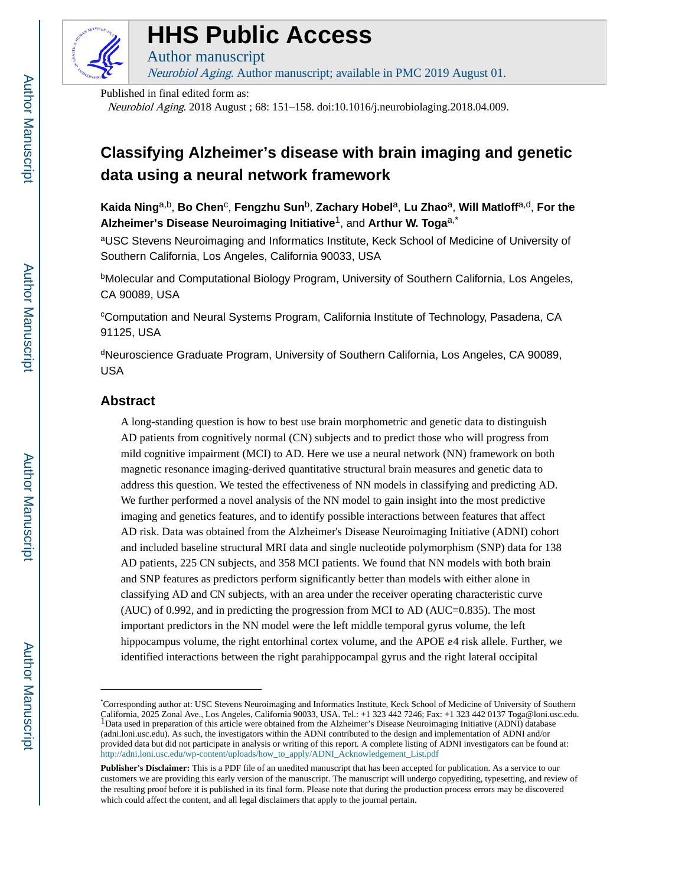

# **HHS Public Access**

Author manuscript Neurobiol Aging. Author manuscript; available in PMC 2019 August 01.

Published in final edited form as:

Neurobiol Aging. 2018 August ; 68: 151–158. doi:10.1016/j.neurobiolaging.2018.04.009.

# **Classifying Alzheimer's disease with brain imaging and genetic data using a neural network framework**

**Kaida Ning**a,b, **Bo Chen**<sup>c</sup> , **Fengzhu Sun**b, **Zachary Hobel**a, **Lu Zhao**a, **Will Matloff**a,d, **For the Alzheimer's Disease Neuroimaging Initiative**1, and **Arthur W. Toga**a,\*

aUSC Stevens Neuroimaging and Informatics Institute, Keck School of Medicine of University of Southern California, Los Angeles, California 90033, USA

<sup>b</sup>Molecular and Computational Biology Program, University of Southern California, Los Angeles, CA 90089, USA

<sup>c</sup>Computation and Neural Systems Program, California Institute of Technology, Pasadena, CA 91125, USA

<sup>d</sup>Neuroscience Graduate Program, University of Southern California, Los Angeles, CA 90089, USA

# **Abstract**

A long-standing question is how to best use brain morphometric and genetic data to distinguish AD patients from cognitively normal (CN) subjects and to predict those who will progress from mild cognitive impairment (MCI) to AD. Here we use a neural network (NN) framework on both magnetic resonance imaging-derived quantitative structural brain measures and genetic data to address this question. We tested the effectiveness of NN models in classifying and predicting AD. We further performed a novel analysis of the NN model to gain insight into the most predictive imaging and genetics features, and to identify possible interactions between features that affect AD risk. Data was obtained from the Alzheimer's Disease Neuroimaging Initiative (ADNI) cohort and included baseline structural MRI data and single nucleotide polymorphism (SNP) data for 138 AD patients, 225 CN subjects, and 358 MCI patients. We found that NN models with both brain and SNP features as predictors perform significantly better than models with either alone in classifying AD and CN subjects, with an area under the receiver operating characteristic curve (AUC) of 0.992, and in predicting the progression from MCI to AD (AUC=0.835). The most important predictors in the NN model were the left middle temporal gyrus volume, the left hippocampus volume, the right entorhinal cortex volume, and the APOE ε4 risk allele. Further, we identified interactions between the right parahippocampal gyrus and the right lateral occipital

<sup>\*</sup>Corresponding author at: USC Stevens Neuroimaging and Informatics Institute, Keck School of Medicine of University of Southern California, 2025 Zonal Ave., Los Angeles, California 90033, USA. Tel.: +1 323 442 7246; Fax: +1 323 442 0137 Toga@loni.usc.edu.<br><sup>1</sup>Data used in preparation of this article were obtained from the Alzheimer's Disease Neuroim (adni.loni.usc.edu). As such, the investigators within the ADNI contributed to the design and implementation of ADNI and/or provided data but did not participate in analysis or writing of this report. A complete listing of ADNI investigators can be found at: [http://adni.loni.usc.edu/wp-content/uploads/how\\_to\\_apply/ADNI\\_Acknowledgement\\_List.pdf](http://adni.loni.usc.edu/wp-content/uploads/how_to_apply/ADNI_Acknowledgement_List.pdf)

**Publisher's Disclaimer:** This is a PDF file of an unedited manuscript that has been accepted for publication. As a service to our customers we are providing this early version of the manuscript. The manuscript will undergo copyediting, typesetting, and review of the resulting proof before it is published in its final form. Please note that during the production process errors may be discovered which could affect the content, and all legal disclaimers that apply to the journal pertain.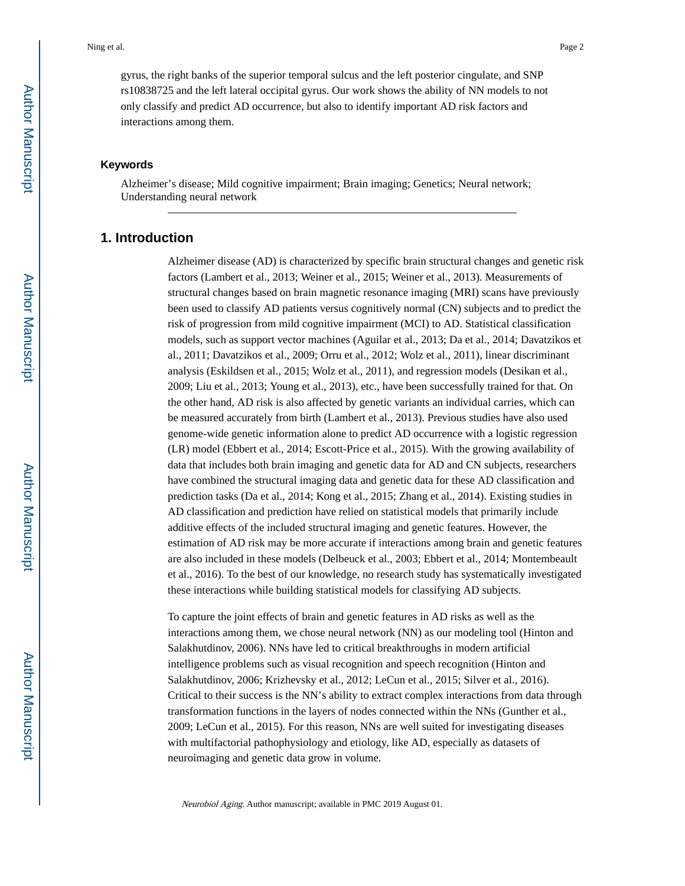gyrus, the right banks of the superior temporal sulcus and the left posterior cingulate, and SNP rs10838725 and the left lateral occipital gyrus. Our work shows the ability of NN models to not only classify and predict AD occurrence, but also to identify important AD risk factors and interactions among them.

#### **Keywords**

Alzheimer's disease; Mild cognitive impairment; Brain imaging; Genetics; Neural network; Understanding neural network

# **1. Introduction**

Alzheimer disease (AD) is characterized by specific brain structural changes and genetic risk factors (Lambert et al., 2013; Weiner et al., 2015; Weiner et al., 2013). Measurements of structural changes based on brain magnetic resonance imaging (MRI) scans have previously been used to classify AD patients versus cognitively normal (CN) subjects and to predict the risk of progression from mild cognitive impairment (MCI) to AD. Statistical classification models, such as support vector machines (Aguilar et al., 2013; Da et al., 2014; Davatzikos et al., 2011; Davatzikos et al., 2009; Orru et al., 2012; Wolz et al., 2011), linear discriminant analysis (Eskildsen et al., 2015; Wolz et al., 2011), and regression models (Desikan et al., 2009; Liu et al., 2013; Young et al., 2013), etc., have been successfully trained for that. On the other hand, AD risk is also affected by genetic variants an individual carries, which can be measured accurately from birth (Lambert et al., 2013). Previous studies have also used genome-wide genetic information alone to predict AD occurrence with a logistic regression (LR) model (Ebbert et al., 2014; Escott-Price et al., 2015). With the growing availability of data that includes both brain imaging and genetic data for AD and CN subjects, researchers have combined the structural imaging data and genetic data for these AD classification and prediction tasks (Da et al., 2014; Kong et al., 2015; Zhang et al., 2014). Existing studies in AD classification and prediction have relied on statistical models that primarily include additive effects of the included structural imaging and genetic features. However, the estimation of AD risk may be more accurate if interactions among brain and genetic features are also included in these models (Delbeuck et al., 2003; Ebbert et al., 2014; Montembeault et al., 2016). To the best of our knowledge, no research study has systematically investigated these interactions while building statistical models for classifying AD subjects.

To capture the joint effects of brain and genetic features in AD risks as well as the interactions among them, we chose neural network (NN) as our modeling tool (Hinton and Salakhutdinov, 2006). NNs have led to critical breakthroughs in modern artificial intelligence problems such as visual recognition and speech recognition (Hinton and Salakhutdinov, 2006; Krizhevsky et al., 2012; LeCun et al., 2015; Silver et al., 2016). Critical to their success is the NN's ability to extract complex interactions from data through transformation functions in the layers of nodes connected within the NNs (Gunther et al., 2009; LeCun et al., 2015). For this reason, NNs are well suited for investigating diseases with multifactorial pathophysiology and etiology, like AD, especially as datasets of neuroimaging and genetic data grow in volume.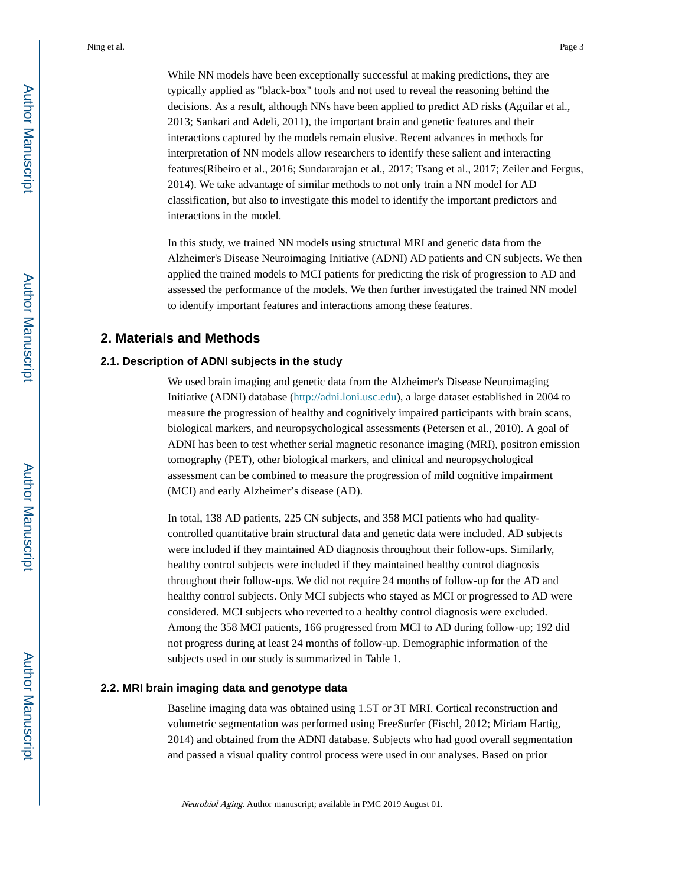While NN models have been exceptionally successful at making predictions, they are typically applied as "black-box" tools and not used to reveal the reasoning behind the decisions. As a result, although NNs have been applied to predict AD risks (Aguilar et al., 2013; Sankari and Adeli, 2011), the important brain and genetic features and their interactions captured by the models remain elusive. Recent advances in methods for interpretation of NN models allow researchers to identify these salient and interacting features(Ribeiro et al., 2016; Sundararajan et al., 2017; Tsang et al., 2017; Zeiler and Fergus, 2014). We take advantage of similar methods to not only train a NN model for AD classification, but also to investigate this model to identify the important predictors and interactions in the model.

In this study, we trained NN models using structural MRI and genetic data from the Alzheimer's Disease Neuroimaging Initiative (ADNI) AD patients and CN subjects. We then applied the trained models to MCI patients for predicting the risk of progression to AD and assessed the performance of the models. We then further investigated the trained NN model to identify important features and interactions among these features.

# **2. Materials and Methods**

#### **2.1. Description of ADNI subjects in the study**

We used brain imaging and genetic data from the Alzheimer's Disease Neuroimaging Initiative (ADNI) database ([http://adni.loni.usc.edu\)](http://adni.loni.usc.edu), a large dataset established in 2004 to measure the progression of healthy and cognitively impaired participants with brain scans, biological markers, and neuropsychological assessments (Petersen et al., 2010). A goal of ADNI has been to test whether serial magnetic resonance imaging (MRI), positron emission tomography (PET), other biological markers, and clinical and neuropsychological assessment can be combined to measure the progression of mild cognitive impairment (MCI) and early Alzheimer's disease (AD).

In total, 138 AD patients, 225 CN subjects, and 358 MCI patients who had qualitycontrolled quantitative brain structural data and genetic data were included. AD subjects were included if they maintained AD diagnosis throughout their follow-ups. Similarly, healthy control subjects were included if they maintained healthy control diagnosis throughout their follow-ups. We did not require 24 months of follow-up for the AD and healthy control subjects. Only MCI subjects who stayed as MCI or progressed to AD were considered. MCI subjects who reverted to a healthy control diagnosis were excluded. Among the 358 MCI patients, 166 progressed from MCI to AD during follow-up; 192 did not progress during at least 24 months of follow-up. Demographic information of the subjects used in our study is summarized in Table 1.

#### **2.2. MRI brain imaging data and genotype data**

Baseline imaging data was obtained using 1.5T or 3T MRI. Cortical reconstruction and volumetric segmentation was performed using FreeSurfer (Fischl, 2012; Miriam Hartig, 2014) and obtained from the ADNI database. Subjects who had good overall segmentation and passed a visual quality control process were used in our analyses. Based on prior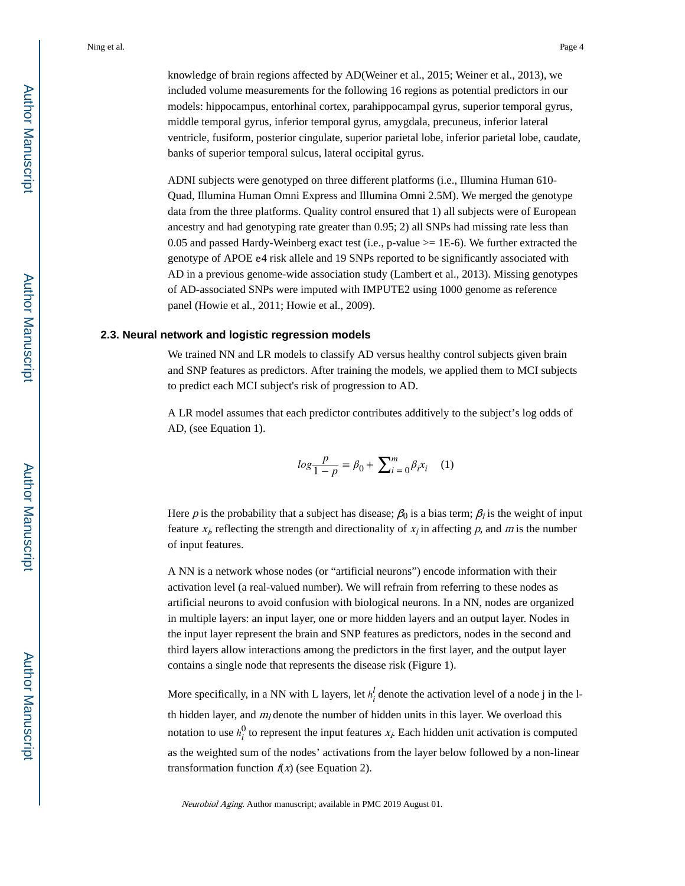knowledge of brain regions affected by AD(Weiner et al., 2015; Weiner et al., 2013), we included volume measurements for the following 16 regions as potential predictors in our models: hippocampus, entorhinal cortex, parahippocampal gyrus, superior temporal gyrus, middle temporal gyrus, inferior temporal gyrus, amygdala, precuneus, inferior lateral ventricle, fusiform, posterior cingulate, superior parietal lobe, inferior parietal lobe, caudate, banks of superior temporal sulcus, lateral occipital gyrus.

ADNI subjects were genotyped on three different platforms (i.e., Illumina Human 610- Quad, Illumina Human Omni Express and Illumina Omni 2.5M). We merged the genotype data from the three platforms. Quality control ensured that 1) all subjects were of European ancestry and had genotyping rate greater than 0.95; 2) all SNPs had missing rate less than 0.05 and passed Hardy-Weinberg exact test (i.e., p-value  $\ge$  1E-6). We further extracted the genotype of APOE ε4 risk allele and 19 SNPs reported to be significantly associated with AD in a previous genome-wide association study (Lambert et al., 2013). Missing genotypes of AD-associated SNPs were imputed with IMPUTE2 using 1000 genome as reference panel (Howie et al., 2011; Howie et al., 2009).

#### **2.3. Neural network and logistic regression models**

We trained NN and LR models to classify AD versus healthy control subjects given brain and SNP features as predictors. After training the models, we applied them to MCI subjects to predict each MCI subject's risk of progression to AD.

A LR model assumes that each predictor contributes additively to the subject's log odds of AD, (see Equation 1).

$$
log\frac{p}{1-p} = \beta_0 + \sum_{i=0}^{m} \beta_i x_i \quad (1)
$$

Here p is the probability that a subject has disease;  $\beta_0$  is a bias term;  $\beta_i$  is the weight of input feature  $x_i$ , reflecting the strength and directionality of  $x_i$  in affecting p, and m is the number of input features.

A NN is a network whose nodes (or "artificial neurons") encode information with their activation level (a real-valued number). We will refrain from referring to these nodes as artificial neurons to avoid confusion with biological neurons. In a NN, nodes are organized in multiple layers: an input layer, one or more hidden layers and an output layer. Nodes in the input layer represent the brain and SNP features as predictors, nodes in the second and third layers allow interactions among the predictors in the first layer, and the output layer contains a single node that represents the disease risk (Figure 1).

More specifically, in a NN with L layers, let  $h_i^l$  denote the activation level of a node j in the l- $\frac{1}{2}$  denote the activation level of a node j in the lth hidden layer, and  $m_l$  denote the number of hidden units in this layer. We overload this notation to use  $h_i^0$  to represent the input features  $x_i$ . Each hidden unit activation is computed as the weighted sum of the nodes' activations from the layer below followed by a non-linear transformation function  $f(x)$  (see Equation 2).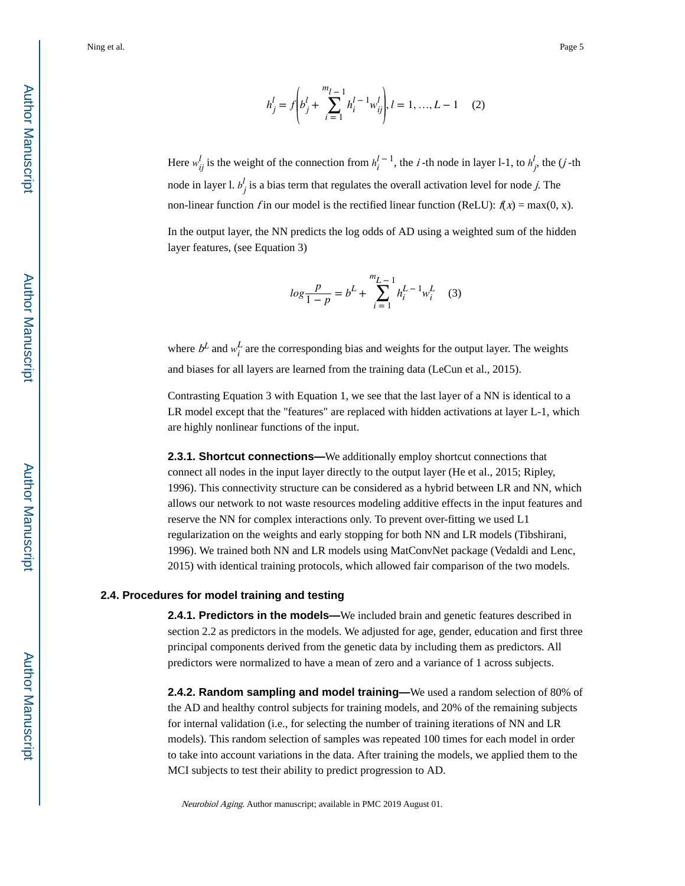$$
h_j^l = f\left(b_j^l + \sum_{i=1}^{m_l-1} h_i^{l-1} w_{ij}^l\right), l = 1, ..., L - 1 \quad (2)
$$

Here  $w_{ij}^l$  is the weight of the connection from  $h_i^{l-1}$ , the *i*  $\binom{l}{ij}$ ,  $l = 1, ..., L - 1$  (2)<br> *l* − <sup>1</sup>, the *i* -th node in layer l-1, to *h*<sup>1</sup><sub>j</sub>, the (*j* -th<br>
the overall activation level for node *j*. The  $j<sup>2</sup>$ , the  $(j - \ln \frac{1}{2})$  $\frac{l}{i}$ , the (*j*-th node in layer l.  $b_j^l$  is a bias term that regulates the overall activation level  $l_i$  is a bias term that regulates the overall activation level for node *j*. The non-linear function f in our model is the rectified linear function (ReLU):  $f(x) = max(0, x)$ .

In the output layer, the NN predicts the log odds of AD using a weighted sum of the hidden layer features, (see Equation 3)

$$
log\frac{p}{1-p} = b^L + \sum_{i=1}^{m_{L-1}} h_i^{L-1} w_i^L \quad (3)
$$

where  $b^L$  and  $w_i^L$  are the corresponding bias and weights for the output layer. The weights and biases for all layers are learned from the training data (LeCun et al., 2015).

Contrasting Equation 3 with Equation 1, we see that the last layer of a NN is identical to a LR model except that the "features" are replaced with hidden activations at layer L-1, which are highly nonlinear functions of the input.

**2.3.1. Shortcut connections—**We additionally employ shortcut connections that connect all nodes in the input layer directly to the output layer (He et al., 2015; Ripley, 1996). This connectivity structure can be considered as a hybrid between LR and NN, which allows our network to not waste resources modeling additive effects in the input features and reserve the NN for complex interactions only. To prevent over-fitting we used L1 regularization on the weights and early stopping for both NN and LR models (Tibshirani, 1996). We trained both NN and LR models using MatConvNet package (Vedaldi and Lenc, 2015) with identical training protocols, which allowed fair comparison of the two models.

#### **2.4. Procedures for model training and testing**

**2.4.1. Predictors in the models—**We included brain and genetic features described in section 2.2 as predictors in the models. We adjusted for age, gender, education and first three principal components derived from the genetic data by including them as predictors. All predictors were normalized to have a mean of zero and a variance of 1 across subjects.

**2.4.2. Random sampling and model training—**We used a random selection of 80% of the AD and healthy control subjects for training models, and 20% of the remaining subjects for internal validation (i.e., for selecting the number of training iterations of NN and LR models). This random selection of samples was repeated 100 times for each model in order to take into account variations in the data. After training the models, we applied them to the MCI subjects to test their ability to predict progression to AD.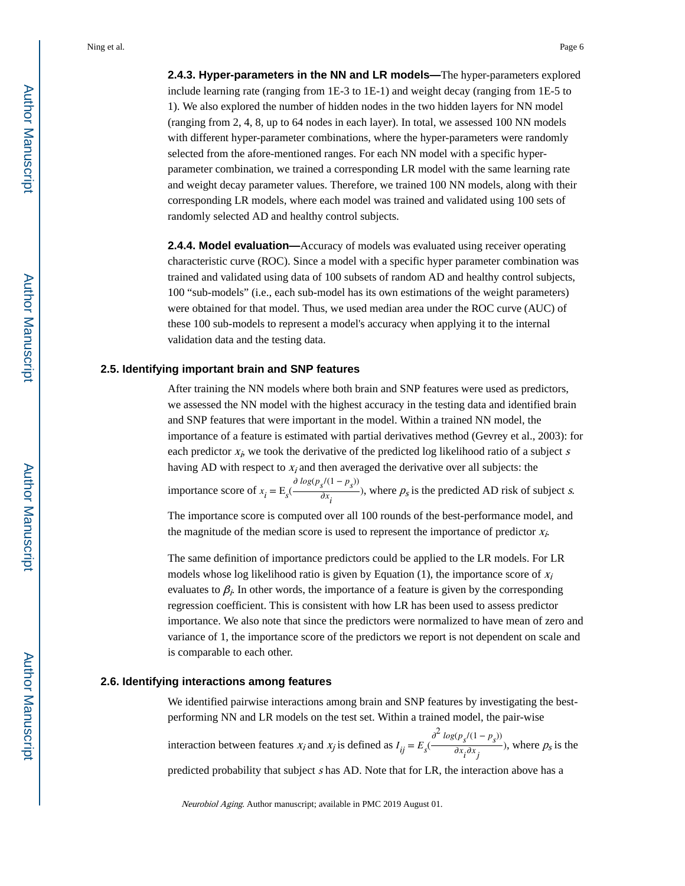include learning rate (ranging from 1E-3 to 1E-1) and weight decay (ranging from 1E-5 to 1). We also explored the number of hidden nodes in the two hidden layers for NN model (ranging from 2, 4, 8, up to 64 nodes in each layer). In total, we assessed 100 NN models with different hyper-parameter combinations, where the hyper-parameters were randomly selected from the afore-mentioned ranges. For each NN model with a specific hyperparameter combination, we trained a corresponding LR model with the same learning rate and weight decay parameter values. Therefore, we trained 100 NN models, along with their corresponding LR models, where each model was trained and validated using 100 sets of randomly selected AD and healthy control subjects.

**2.4.4. Model evaluation—**Accuracy of models was evaluated using receiver operating characteristic curve (ROC). Since a model with a specific hyper parameter combination was trained and validated using data of 100 subsets of random AD and healthy control subjects, 100 "sub-models" (i.e., each sub-model has its own estimations of the weight parameters) were obtained for that model. Thus, we used median area under the ROC curve (AUC) of these 100 sub-models to represent a model's accuracy when applying it to the internal validation data and the testing data.

### **2.5. Identifying important brain and SNP features**

After training the NN models where both brain and SNP features were used as predictors, we assessed the NN model with the highest accuracy in the testing data and identified brain and SNP features that were important in the model. Within a trained NN model, the importance of a feature is estimated with partial derivatives method (Gevrey et al., 2003): for each predictor  $x_i$ , we took the derivative of the predicted log likelihood ratio of a subject s having AD with respect to  $x_i$  and then averaged the derivative over all subjects: the importance score of  $x_i = E_s$ ∂  $log(p_s/(1-p_s))$  $\frac{\partial s}{\partial x_i}$ , where  $p_s$  is the predicted AD risk of subject *s*.

The importance score is computed over all 100 rounds of the best-performance model, and the magnitude of the median score is used to represent the importance of predictor  $x_i$ .

The same definition of importance predictors could be applied to the LR models. For LR models whose log likelihood ratio is given by Equation (1), the importance score of  $x_i$ evaluates to  $\beta_i$ . In other words, the importance of a feature is given by the corresponding regression coefficient. This is consistent with how LR has been used to assess predictor importance. We also note that since the predictors were normalized to have mean of zero and variance of 1, the importance score of the predictors we report is not dependent on scale and is comparable to each other.

#### **2.6. Identifying interactions among features**

We identified pairwise interactions among brain and SNP features by investigating the bestperforming NN and LR models on the test set. Within a trained model, the pair-wise  $\partial^2 log(p_s/(1-p_s))$ 

interaction between features  $x_i$  and  $x_j$  is defined as  $I_{ij} = E_s$  $\frac{\partial^2 s}{\partial x_i \partial x_j}$ , where  $p_s$  is the

predicted probability that subject s has AD. Note that for LR, the interaction above has a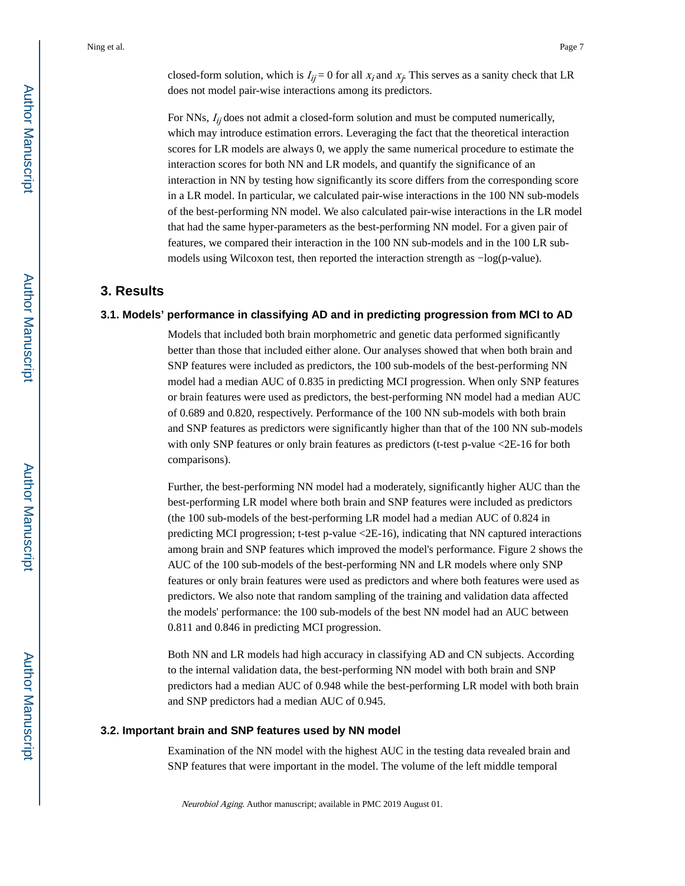closed-form solution, which is  $I_{ij} = 0$  for all  $x_i$  and  $x_j$ . This serves as a sanity check that LR does not model pair-wise interactions among its predictors.

For NNs,  $I_{ij}$  does not admit a closed-form solution and must be computed numerically, which may introduce estimation errors. Leveraging the fact that the theoretical interaction scores for LR models are always 0, we apply the same numerical procedure to estimate the interaction scores for both NN and LR models, and quantify the significance of an interaction in NN by testing how significantly its score differs from the corresponding score in a LR model. In particular, we calculated pair-wise interactions in the 100 NN sub-models of the best-performing NN model. We also calculated pair-wise interactions in the LR model that had the same hyper-parameters as the best-performing NN model. For a given pair of features, we compared their interaction in the 100 NN sub-models and in the 100 LR submodels using Wilcoxon test, then reported the interaction strength as −log(p-value).

# **3. Results**

#### **3.1. Models' performance in classifying AD and in predicting progression from MCI to AD**

Models that included both brain morphometric and genetic data performed significantly better than those that included either alone. Our analyses showed that when both brain and SNP features were included as predictors, the 100 sub-models of the best-performing NN model had a median AUC of 0.835 in predicting MCI progression. When only SNP features or brain features were used as predictors, the best-performing NN model had a median AUC of 0.689 and 0.820, respectively. Performance of the 100 NN sub-models with both brain and SNP features as predictors were significantly higher than that of the 100 NN sub-models with only SNP features or only brain features as predictors (t-test p-value <2E-16 for both comparisons).

Further, the best-performing NN model had a moderately, significantly higher AUC than the best-performing LR model where both brain and SNP features were included as predictors (the 100 sub-models of the best-performing LR model had a median AUC of 0.824 in predicting MCI progression; t-test p-value <2E-16), indicating that NN captured interactions among brain and SNP features which improved the model's performance. Figure 2 shows the AUC of the 100 sub-models of the best-performing NN and LR models where only SNP features or only brain features were used as predictors and where both features were used as predictors. We also note that random sampling of the training and validation data affected the models' performance: the 100 sub-models of the best NN model had an AUC between 0.811 and 0.846 in predicting MCI progression.

Both NN and LR models had high accuracy in classifying AD and CN subjects. According to the internal validation data, the best-performing NN model with both brain and SNP predictors had a median AUC of 0.948 while the best-performing LR model with both brain and SNP predictors had a median AUC of 0.945.

#### **3.2. Important brain and SNP features used by NN model**

Examination of the NN model with the highest AUC in the testing data revealed brain and SNP features that were important in the model. The volume of the left middle temporal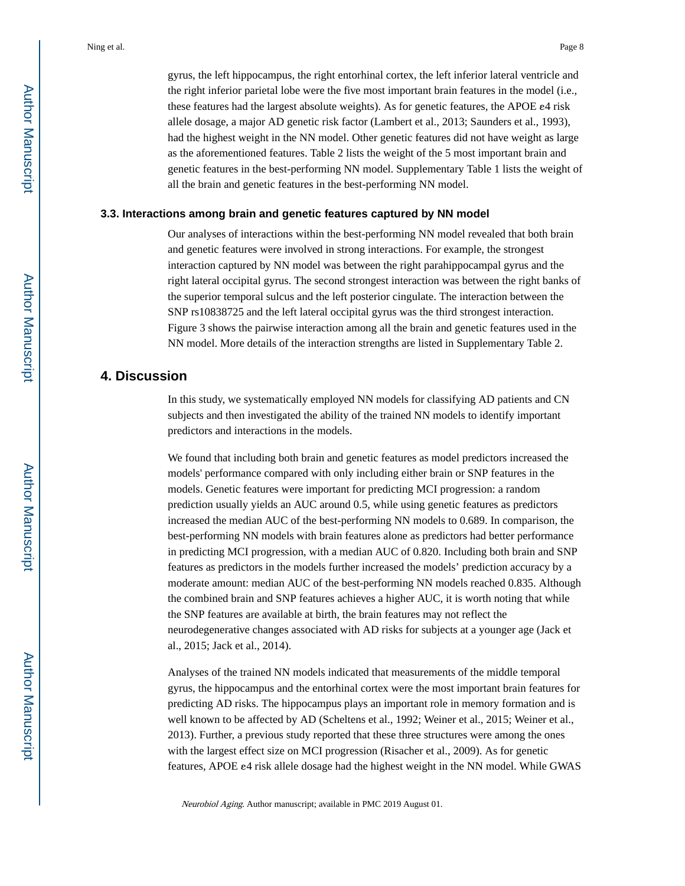gyrus, the left hippocampus, the right entorhinal cortex, the left inferior lateral ventricle and the right inferior parietal lobe were the five most important brain features in the model (i.e., these features had the largest absolute weights). As for genetic features, the APOE ε4 risk allele dosage, a major AD genetic risk factor (Lambert et al., 2013; Saunders et al., 1993), had the highest weight in the NN model. Other genetic features did not have weight as large as the aforementioned features. Table 2 lists the weight of the 5 most important brain and genetic features in the best-performing NN model. Supplementary Table 1 lists the weight of all the brain and genetic features in the best-performing NN model.

#### **3.3. Interactions among brain and genetic features captured by NN model**

Our analyses of interactions within the best-performing NN model revealed that both brain and genetic features were involved in strong interactions. For example, the strongest interaction captured by NN model was between the right parahippocampal gyrus and the right lateral occipital gyrus. The second strongest interaction was between the right banks of the superior temporal sulcus and the left posterior cingulate. The interaction between the SNP rs10838725 and the left lateral occipital gyrus was the third strongest interaction. Figure 3 shows the pairwise interaction among all the brain and genetic features used in the NN model. More details of the interaction strengths are listed in Supplementary Table 2.

# **4. Discussion**

In this study, we systematically employed NN models for classifying AD patients and CN subjects and then investigated the ability of the trained NN models to identify important predictors and interactions in the models.

We found that including both brain and genetic features as model predictors increased the models' performance compared with only including either brain or SNP features in the models. Genetic features were important for predicting MCI progression: a random prediction usually yields an AUC around 0.5, while using genetic features as predictors increased the median AUC of the best-performing NN models to 0.689. In comparison, the best-performing NN models with brain features alone as predictors had better performance in predicting MCI progression, with a median AUC of 0.820. Including both brain and SNP features as predictors in the models further increased the models' prediction accuracy by a moderate amount: median AUC of the best-performing NN models reached 0.835. Although the combined brain and SNP features achieves a higher AUC, it is worth noting that while the SNP features are available at birth, the brain features may not reflect the neurodegenerative changes associated with AD risks for subjects at a younger age (Jack et al., 2015; Jack et al., 2014).

Analyses of the trained NN models indicated that measurements of the middle temporal gyrus, the hippocampus and the entorhinal cortex were the most important brain features for predicting AD risks. The hippocampus plays an important role in memory formation and is well known to be affected by AD (Scheltens et al., 1992; Weiner et al., 2015; Weiner et al., 2013). Further, a previous study reported that these three structures were among the ones with the largest effect size on MCI progression (Risacher et al., 2009). As for genetic features, APOE ε4 risk allele dosage had the highest weight in the NN model. While GWAS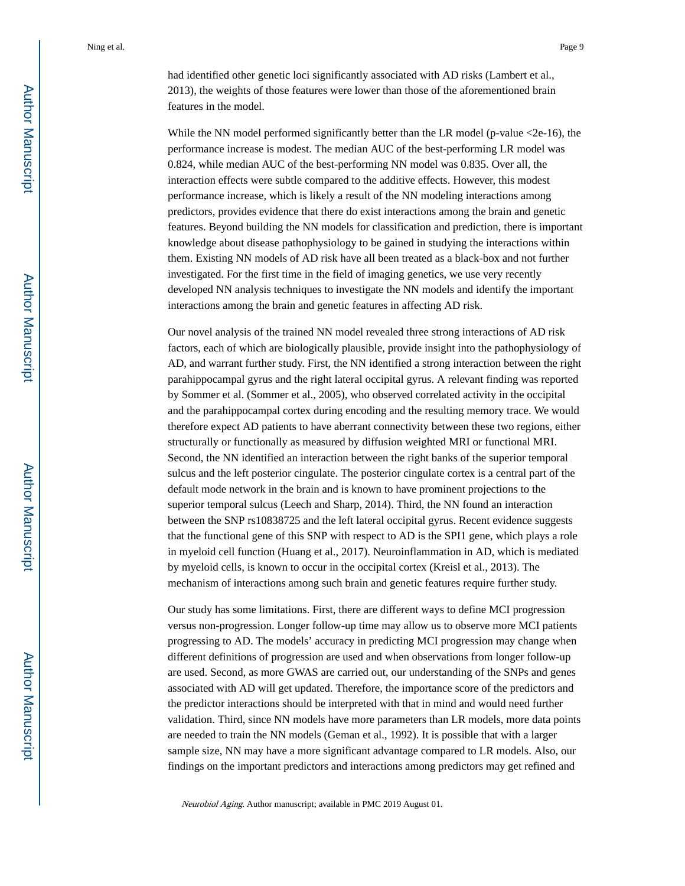had identified other genetic loci significantly associated with AD risks (Lambert et al., 2013), the weights of those features were lower than those of the aforementioned brain features in the model.

While the NN model performed significantly better than the LR model (p-value  $\leq$ 2e-16), the performance increase is modest. The median AUC of the best-performing LR model was 0.824, while median AUC of the best-performing NN model was 0.835. Over all, the interaction effects were subtle compared to the additive effects. However, this modest performance increase, which is likely a result of the NN modeling interactions among predictors, provides evidence that there do exist interactions among the brain and genetic features. Beyond building the NN models for classification and prediction, there is important knowledge about disease pathophysiology to be gained in studying the interactions within them. Existing NN models of AD risk have all been treated as a black-box and not further investigated. For the first time in the field of imaging genetics, we use very recently developed NN analysis techniques to investigate the NN models and identify the important interactions among the brain and genetic features in affecting AD risk.

Our novel analysis of the trained NN model revealed three strong interactions of AD risk factors, each of which are biologically plausible, provide insight into the pathophysiology of AD, and warrant further study. First, the NN identified a strong interaction between the right parahippocampal gyrus and the right lateral occipital gyrus. A relevant finding was reported by Sommer et al. (Sommer et al., 2005), who observed correlated activity in the occipital and the parahippocampal cortex during encoding and the resulting memory trace. We would therefore expect AD patients to have aberrant connectivity between these two regions, either structurally or functionally as measured by diffusion weighted MRI or functional MRI. Second, the NN identified an interaction between the right banks of the superior temporal sulcus and the left posterior cingulate. The posterior cingulate cortex is a central part of the default mode network in the brain and is known to have prominent projections to the superior temporal sulcus (Leech and Sharp, 2014). Third, the NN found an interaction between the SNP rs10838725 and the left lateral occipital gyrus. Recent evidence suggests that the functional gene of this SNP with respect to AD is the SPI1 gene, which plays a role in myeloid cell function (Huang et al., 2017). Neuroinflammation in AD, which is mediated by myeloid cells, is known to occur in the occipital cortex (Kreisl et al., 2013). The mechanism of interactions among such brain and genetic features require further study.

Our study has some limitations. First, there are different ways to define MCI progression versus non-progression. Longer follow-up time may allow us to observe more MCI patients progressing to AD. The models' accuracy in predicting MCI progression may change when different definitions of progression are used and when observations from longer follow-up are used. Second, as more GWAS are carried out, our understanding of the SNPs and genes associated with AD will get updated. Therefore, the importance score of the predictors and the predictor interactions should be interpreted with that in mind and would need further validation. Third, since NN models have more parameters than LR models, more data points are needed to train the NN models (Geman et al., 1992). It is possible that with a larger sample size, NN may have a more significant advantage compared to LR models. Also, our findings on the important predictors and interactions among predictors may get refined and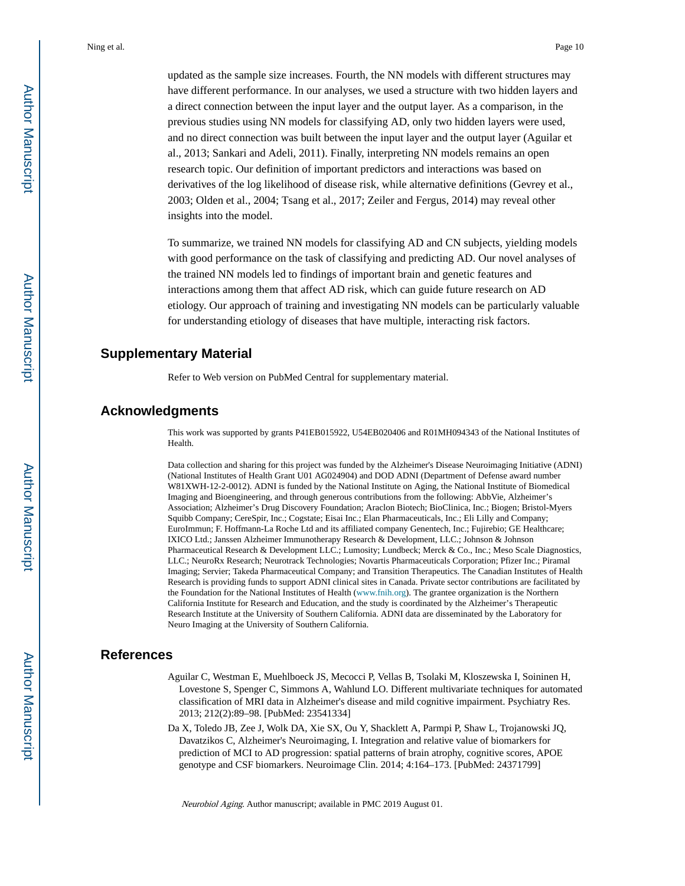updated as the sample size increases. Fourth, the NN models with different structures may have different performance. In our analyses, we used a structure with two hidden layers and a direct connection between the input layer and the output layer. As a comparison, in the previous studies using NN models for classifying AD, only two hidden layers were used, and no direct connection was built between the input layer and the output layer (Aguilar et al., 2013; Sankari and Adeli, 2011). Finally, interpreting NN models remains an open research topic. Our definition of important predictors and interactions was based on derivatives of the log likelihood of disease risk, while alternative definitions (Gevrey et al., 2003; Olden et al., 2004; Tsang et al., 2017; Zeiler and Fergus, 2014) may reveal other insights into the model.

To summarize, we trained NN models for classifying AD and CN subjects, yielding models with good performance on the task of classifying and predicting AD. Our novel analyses of the trained NN models led to findings of important brain and genetic features and interactions among them that affect AD risk, which can guide future research on AD etiology. Our approach of training and investigating NN models can be particularly valuable for understanding etiology of diseases that have multiple, interacting risk factors.

# **Supplementary Material**

Refer to Web version on PubMed Central for supplementary material.

# **Acknowledgments**

This work was supported by grants P41EB015922, U54EB020406 and R01MH094343 of the National Institutes of Health.

Data collection and sharing for this project was funded by the Alzheimer's Disease Neuroimaging Initiative (ADNI) (National Institutes of Health Grant U01 AG024904) and DOD ADNI (Department of Defense award number W81XWH-12-2-0012). ADNI is funded by the National Institute on Aging, the National Institute of Biomedical Imaging and Bioengineering, and through generous contributions from the following: AbbVie, Alzheimer's Association; Alzheimer's Drug Discovery Foundation; Araclon Biotech; BioClinica, Inc.; Biogen; Bristol-Myers Squibb Company; CereSpir, Inc.; Cogstate; Eisai Inc.; Elan Pharmaceuticals, Inc.; Eli Lilly and Company; EuroImmun; F. Hoffmann-La Roche Ltd and its affiliated company Genentech, Inc.; Fujirebio; GE Healthcare; IXICO Ltd.; Janssen Alzheimer Immunotherapy Research & Development, LLC.; Johnson & Johnson Pharmaceutical Research & Development LLC.; Lumosity; Lundbeck; Merck & Co., Inc.; Meso Scale Diagnostics, LLC.; NeuroRx Research; Neurotrack Technologies; Novartis Pharmaceuticals Corporation; Pfizer Inc.; Piramal Imaging; Servier; Takeda Pharmaceutical Company; and Transition Therapeutics. The Canadian Institutes of Health Research is providing funds to support ADNI clinical sites in Canada. Private sector contributions are facilitated by the Foundation for the National Institutes of Health ([www.fnih.org\)](http://www.fnih.org). The grantee organization is the Northern California Institute for Research and Education, and the study is coordinated by the Alzheimer's Therapeutic Research Institute at the University of Southern California. ADNI data are disseminated by the Laboratory for Neuro Imaging at the University of Southern California.

# **References**

- Aguilar C, Westman E, Muehlboeck JS, Mecocci P, Vellas B, Tsolaki M, Kloszewska I, Soininen H, Lovestone S, Spenger C, Simmons A, Wahlund LO. Different multivariate techniques for automated classification of MRI data in Alzheimer's disease and mild cognitive impairment. Psychiatry Res. 2013; 212(2):89–98. [PubMed: 23541334]
- Da X, Toledo JB, Zee J, Wolk DA, Xie SX, Ou Y, Shacklett A, Parmpi P, Shaw L, Trojanowski JQ, Davatzikos C, Alzheimer's Neuroimaging, I. Integration and relative value of biomarkers for prediction of MCI to AD progression: spatial patterns of brain atrophy, cognitive scores, APOE genotype and CSF biomarkers. Neuroimage Clin. 2014; 4:164–173. [PubMed: 24371799]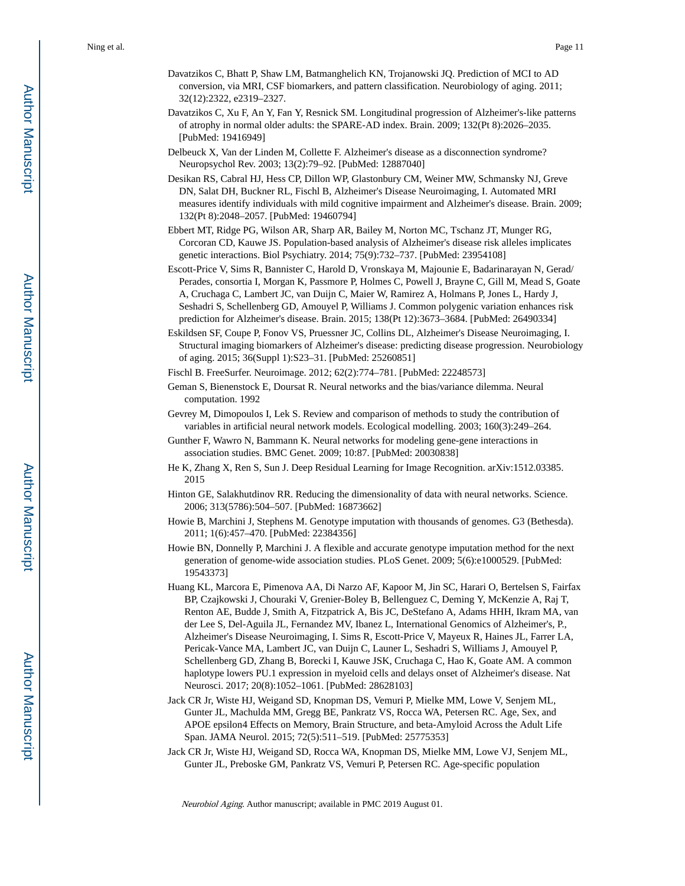- Davatzikos C, Bhatt P, Shaw LM, Batmanghelich KN, Trojanowski JQ. Prediction of MCI to AD conversion, via MRI, CSF biomarkers, and pattern classification. Neurobiology of aging. 2011; 32(12):2322, e2319–2327.
- Davatzikos C, Xu F, An Y, Fan Y, Resnick SM. Longitudinal progression of Alzheimer's-like patterns of atrophy in normal older adults: the SPARE-AD index. Brain. 2009; 132(Pt 8):2026–2035. [PubMed: 19416949]
- Delbeuck X, Van der Linden M, Collette F. Alzheimer's disease as a disconnection syndrome? Neuropsychol Rev. 2003; 13(2):79–92. [PubMed: 12887040]
- Desikan RS, Cabral HJ, Hess CP, Dillon WP, Glastonbury CM, Weiner MW, Schmansky NJ, Greve DN, Salat DH, Buckner RL, Fischl B, Alzheimer's Disease Neuroimaging, I. Automated MRI measures identify individuals with mild cognitive impairment and Alzheimer's disease. Brain. 2009; 132(Pt 8):2048–2057. [PubMed: 19460794]
- Ebbert MT, Ridge PG, Wilson AR, Sharp AR, Bailey M, Norton MC, Tschanz JT, Munger RG, Corcoran CD, Kauwe JS. Population-based analysis of Alzheimer's disease risk alleles implicates genetic interactions. Biol Psychiatry. 2014; 75(9):732–737. [PubMed: 23954108]
- Escott-Price V, Sims R, Bannister C, Harold D, Vronskaya M, Majounie E, Badarinarayan N, Gerad/ Perades, consortia I, Morgan K, Passmore P, Holmes C, Powell J, Brayne C, Gill M, Mead S, Goate A, Cruchaga C, Lambert JC, van Duijn C, Maier W, Ramirez A, Holmans P, Jones L, Hardy J, Seshadri S, Schellenberg GD, Amouyel P, Williams J. Common polygenic variation enhances risk prediction for Alzheimer's disease. Brain. 2015; 138(Pt 12):3673–3684. [PubMed: 26490334]
- Eskildsen SF, Coupe P, Fonov VS, Pruessner JC, Collins DL, Alzheimer's Disease Neuroimaging, I. Structural imaging biomarkers of Alzheimer's disease: predicting disease progression. Neurobiology of aging. 2015; 36(Suppl 1):S23–31. [PubMed: 25260851]
- Fischl B. FreeSurfer. Neuroimage. 2012; 62(2):774–781. [PubMed: 22248573]
- Geman S, Bienenstock E, Doursat R. Neural networks and the bias/variance dilemma. Neural computation. 1992
- Gevrey M, Dimopoulos I, Lek S. Review and comparison of methods to study the contribution of variables in artificial neural network models. Ecological modelling. 2003; 160(3):249–264.
- Gunther F, Wawro N, Bammann K. Neural networks for modeling gene-gene interactions in association studies. BMC Genet. 2009; 10:87. [PubMed: 20030838]
- He K, Zhang X, Ren S, Sun J. Deep Residual Learning for Image Recognition. arXiv:1512.03385. 2015
- Hinton GE, Salakhutdinov RR. Reducing the dimensionality of data with neural networks. Science. 2006; 313(5786):504–507. [PubMed: 16873662]
- Howie B, Marchini J, Stephens M. Genotype imputation with thousands of genomes. G3 (Bethesda). 2011; 1(6):457–470. [PubMed: 22384356]
- Howie BN, Donnelly P, Marchini J. A flexible and accurate genotype imputation method for the next generation of genome-wide association studies. PLoS Genet. 2009; 5(6):e1000529. [PubMed: 19543373]
- Huang KL, Marcora E, Pimenova AA, Di Narzo AF, Kapoor M, Jin SC, Harari O, Bertelsen S, Fairfax BP, Czajkowski J, Chouraki V, Grenier-Boley B, Bellenguez C, Deming Y, McKenzie A, Raj T, Renton AE, Budde J, Smith A, Fitzpatrick A, Bis JC, DeStefano A, Adams HHH, Ikram MA, van der Lee S, Del-Aguila JL, Fernandez MV, Ibanez L, International Genomics of Alzheimer's, P., Alzheimer's Disease Neuroimaging, I. Sims R, Escott-Price V, Mayeux R, Haines JL, Farrer LA, Pericak-Vance MA, Lambert JC, van Duijn C, Launer L, Seshadri S, Williams J, Amouyel P, Schellenberg GD, Zhang B, Borecki I, Kauwe JSK, Cruchaga C, Hao K, Goate AM. A common haplotype lowers PU.1 expression in myeloid cells and delays onset of Alzheimer's disease. Nat Neurosci. 2017; 20(8):1052–1061. [PubMed: 28628103]
- Jack CR Jr, Wiste HJ, Weigand SD, Knopman DS, Vemuri P, Mielke MM, Lowe V, Senjem ML, Gunter JL, Machulda MM, Gregg BE, Pankratz VS, Rocca WA, Petersen RC. Age, Sex, and APOE epsilon4 Effects on Memory, Brain Structure, and beta-Amyloid Across the Adult Life Span. JAMA Neurol. 2015; 72(5):511–519. [PubMed: 25775353]
- Jack CR Jr, Wiste HJ, Weigand SD, Rocca WA, Knopman DS, Mielke MM, Lowe VJ, Senjem ML, Gunter JL, Preboske GM, Pankratz VS, Vemuri P, Petersen RC. Age-specific population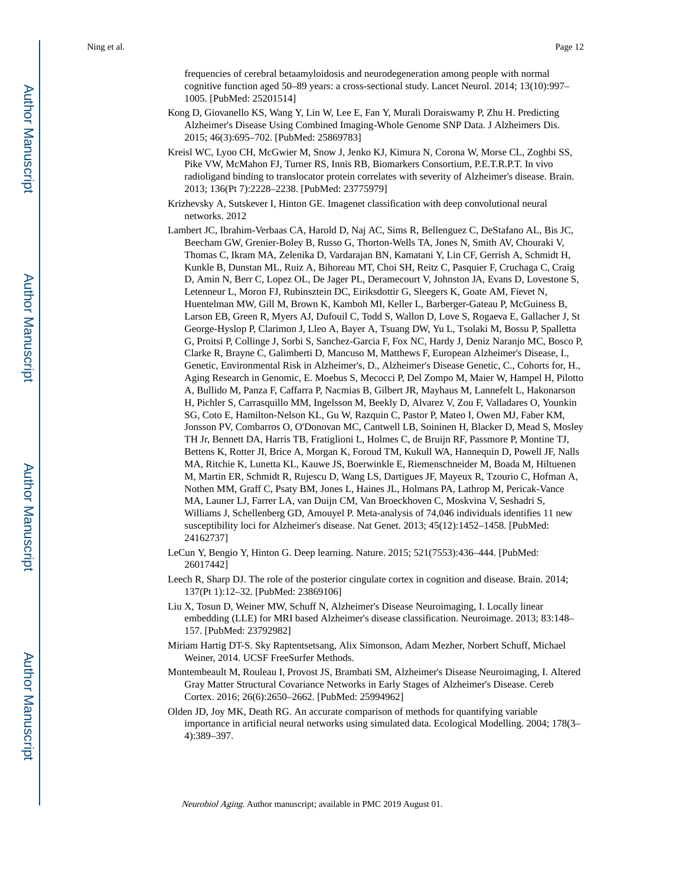frequencies of cerebral betaamyloidosis and neurodegeneration among people with normal cognitive function aged 50–89 years: a cross-sectional study. Lancet Neurol. 2014; 13(10):997– 1005. [PubMed: 25201514]

- Kong D, Giovanello KS, Wang Y, Lin W, Lee E, Fan Y, Murali Doraiswamy P, Zhu H. Predicting Alzheimer's Disease Using Combined Imaging-Whole Genome SNP Data. J Alzheimers Dis. 2015; 46(3):695–702. [PubMed: 25869783]
- Kreisl WC, Lyoo CH, McGwier M, Snow J, Jenko KJ, Kimura N, Corona W, Morse CL, Zoghbi SS, Pike VW, McMahon FJ, Turner RS, Innis RB, Biomarkers Consortium, P.E.T.R.P.T. In vivo radioligand binding to translocator protein correlates with severity of Alzheimer's disease. Brain. 2013; 136(Pt 7):2228–2238. [PubMed: 23775979]
- Krizhevsky A, Sutskever I, Hinton GE. Imagenet classification with deep convolutional neural networks. 2012
- Lambert JC, Ibrahim-Verbaas CA, Harold D, Naj AC, Sims R, Bellenguez C, DeStafano AL, Bis JC, Beecham GW, Grenier-Boley B, Russo G, Thorton-Wells TA, Jones N, Smith AV, Chouraki V, Thomas C, Ikram MA, Zelenika D, Vardarajan BN, Kamatani Y, Lin CF, Gerrish A, Schmidt H, Kunkle B, Dunstan ML, Ruiz A, Bihoreau MT, Choi SH, Reitz C, Pasquier F, Cruchaga C, Craig D, Amin N, Berr C, Lopez OL, De Jager PL, Deramecourt V, Johnston JA, Evans D, Lovestone S, Letenneur L, Moron FJ, Rubinsztein DC, Eiriksdottir G, Sleegers K, Goate AM, Fievet N, Huentelman MW, Gill M, Brown K, Kamboh MI, Keller L, Barberger-Gateau P, McGuiness B, Larson EB, Green R, Myers AJ, Dufouil C, Todd S, Wallon D, Love S, Rogaeva E, Gallacher J, St George-Hyslop P, Clarimon J, Lleo A, Bayer A, Tsuang DW, Yu L, Tsolaki M, Bossu P, Spalletta G, Proitsi P, Collinge J, Sorbi S, Sanchez-Garcia F, Fox NC, Hardy J, Deniz Naranjo MC, Bosco P, Clarke R, Brayne C, Galimberti D, Mancuso M, Matthews F, European Alzheimer's Disease, I., Genetic, Environmental Risk in Alzheimer's, D., Alzheimer's Disease Genetic, C., Cohorts for, H., Aging Research in Genomic, E. Moebus S, Mecocci P, Del Zompo M, Maier W, Hampel H, Pilotto A, Bullido M, Panza F, Caffarra P, Nacmias B, Gilbert JR, Mayhaus M, Lannefelt L, Hakonarson H, Pichler S, Carrasquillo MM, Ingelsson M, Beekly D, Alvarez V, Zou F, Valladares O, Younkin SG, Coto E, Hamilton-Nelson KL, Gu W, Razquin C, Pastor P, Mateo I, Owen MJ, Faber KM, Jonsson PV, Combarros O, O'Donovan MC, Cantwell LB, Soininen H, Blacker D, Mead S, Mosley TH Jr, Bennett DA, Harris TB, Fratiglioni L, Holmes C, de Bruijn RF, Passmore P, Montine TJ, Bettens K, Rotter JI, Brice A, Morgan K, Foroud TM, Kukull WA, Hannequin D, Powell JF, Nalls MA, Ritchie K, Lunetta KL, Kauwe JS, Boerwinkle E, Riemenschneider M, Boada M, Hiltuenen M, Martin ER, Schmidt R, Rujescu D, Wang LS, Dartigues JF, Mayeux R, Tzourio C, Hofman A, Nothen MM, Graff C, Psaty BM, Jones L, Haines JL, Holmans PA, Lathrop M, Pericak-Vance MA, Launer LJ, Farrer LA, van Duijn CM, Van Broeckhoven C, Moskvina V, Seshadri S, Williams J, Schellenberg GD, Amouyel P. Meta-analysis of 74,046 individuals identifies 11 new susceptibility loci for Alzheimer's disease. Nat Genet. 2013; 45(12):1452–1458. [PubMed: 24162737]
- LeCun Y, Bengio Y, Hinton G. Deep learning. Nature. 2015; 521(7553):436–444. [PubMed: 26017442]
- Leech R, Sharp DJ. The role of the posterior cingulate cortex in cognition and disease. Brain. 2014; 137(Pt 1):12–32. [PubMed: 23869106]
- Liu X, Tosun D, Weiner MW, Schuff N, Alzheimer's Disease Neuroimaging, I. Locally linear embedding (LLE) for MRI based Alzheimer's disease classification. Neuroimage. 2013; 83:148– 157. [PubMed: 23792982]
- Miriam Hartig DT-S. Sky Raptentsetsang, Alix Simonson, Adam Mezher, Norbert Schuff, Michael Weiner, 2014. UCSF FreeSurfer Methods.
- Montembeault M, Rouleau I, Provost JS, Brambati SM, Alzheimer's Disease Neuroimaging, I. Altered Gray Matter Structural Covariance Networks in Early Stages of Alzheimer's Disease. Cereb Cortex. 2016; 26(6):2650–2662. [PubMed: 25994962]
- Olden JD, Joy MK, Death RG. An accurate comparison of methods for quantifying variable importance in artificial neural networks using simulated data. Ecological Modelling. 2004; 178(3– 4):389–397.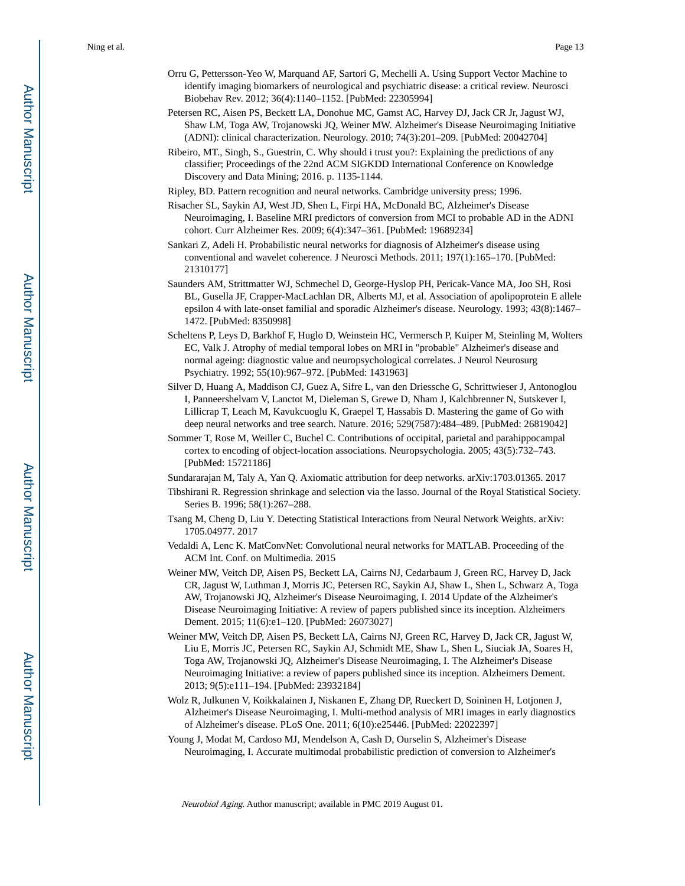- Orru G, Pettersson-Yeo W, Marquand AF, Sartori G, Mechelli A. Using Support Vector Machine to identify imaging biomarkers of neurological and psychiatric disease: a critical review. Neurosci Biobehav Rev. 2012; 36(4):1140–1152. [PubMed: 22305994]
- Petersen RC, Aisen PS, Beckett LA, Donohue MC, Gamst AC, Harvey DJ, Jack CR Jr, Jagust WJ, Shaw LM, Toga AW, Trojanowski JQ, Weiner MW. Alzheimer's Disease Neuroimaging Initiative (ADNI): clinical characterization. Neurology. 2010; 74(3):201–209. [PubMed: 20042704]
- Ribeiro, MT., Singh, S., Guestrin, C. Why should i trust you?: Explaining the predictions of any classifier; Proceedings of the 22nd ACM SIGKDD International Conference on Knowledge Discovery and Data Mining; 2016. p. 1135-1144.
- Ripley, BD. Pattern recognition and neural networks. Cambridge university press; 1996.
- Risacher SL, Saykin AJ, West JD, Shen L, Firpi HA, McDonald BC, Alzheimer's Disease Neuroimaging, I. Baseline MRI predictors of conversion from MCI to probable AD in the ADNI cohort. Curr Alzheimer Res. 2009; 6(4):347–361. [PubMed: 19689234]
- Sankari Z, Adeli H. Probabilistic neural networks for diagnosis of Alzheimer's disease using conventional and wavelet coherence. J Neurosci Methods. 2011; 197(1):165–170. [PubMed: 21310177]
- Saunders AM, Strittmatter WJ, Schmechel D, George-Hyslop PH, Pericak-Vance MA, Joo SH, Rosi BL, Gusella JF, Crapper-MacLachlan DR, Alberts MJ, et al. Association of apolipoprotein E allele epsilon 4 with late-onset familial and sporadic Alzheimer's disease. Neurology. 1993; 43(8):1467– 1472. [PubMed: 8350998]
- Scheltens P, Leys D, Barkhof F, Huglo D, Weinstein HC, Vermersch P, Kuiper M, Steinling M, Wolters EC, Valk J. Atrophy of medial temporal lobes on MRI in "probable" Alzheimer's disease and normal ageing: diagnostic value and neuropsychological correlates. J Neurol Neurosurg Psychiatry. 1992; 55(10):967–972. [PubMed: 1431963]
- Silver D, Huang A, Maddison CJ, Guez A, Sifre L, van den Driessche G, Schrittwieser J, Antonoglou I, Panneershelvam V, Lanctot M, Dieleman S, Grewe D, Nham J, Kalchbrenner N, Sutskever I, Lillicrap T, Leach M, Kavukcuoglu K, Graepel T, Hassabis D. Mastering the game of Go with deep neural networks and tree search. Nature. 2016; 529(7587):484–489. [PubMed: 26819042]
- Sommer T, Rose M, Weiller C, Buchel C. Contributions of occipital, parietal and parahippocampal cortex to encoding of object-location associations. Neuropsychologia. 2005; 43(5):732–743. [PubMed: 15721186]
- Sundararajan M, Taly A, Yan Q. Axiomatic attribution for deep networks. arXiv:1703.01365. 2017
- Tibshirani R. Regression shrinkage and selection via the lasso. Journal of the Royal Statistical Society. Series B. 1996; 58(1):267–288.
- Tsang M, Cheng D, Liu Y. Detecting Statistical Interactions from Neural Network Weights. arXiv: 1705.04977. 2017
- Vedaldi A, Lenc K. MatConvNet: Convolutional neural networks for MATLAB. Proceeding of the ACM Int. Conf. on Multimedia. 2015
- Weiner MW, Veitch DP, Aisen PS, Beckett LA, Cairns NJ, Cedarbaum J, Green RC, Harvey D, Jack CR, Jagust W, Luthman J, Morris JC, Petersen RC, Saykin AJ, Shaw L, Shen L, Schwarz A, Toga AW, Trojanowski JQ, Alzheimer's Disease Neuroimaging, I. 2014 Update of the Alzheimer's Disease Neuroimaging Initiative: A review of papers published since its inception. Alzheimers Dement. 2015; 11(6):e1–120. [PubMed: 26073027]
- Weiner MW, Veitch DP, Aisen PS, Beckett LA, Cairns NJ, Green RC, Harvey D, Jack CR, Jagust W, Liu E, Morris JC, Petersen RC, Saykin AJ, Schmidt ME, Shaw L, Shen L, Siuciak JA, Soares H, Toga AW, Trojanowski JQ, Alzheimer's Disease Neuroimaging, I. The Alzheimer's Disease Neuroimaging Initiative: a review of papers published since its inception. Alzheimers Dement. 2013; 9(5):e111–194. [PubMed: 23932184]
- Wolz R, Julkunen V, Koikkalainen J, Niskanen E, Zhang DP, Rueckert D, Soininen H, Lotjonen J, Alzheimer's Disease Neuroimaging, I. Multi-method analysis of MRI images in early diagnostics of Alzheimer's disease. PLoS One. 2011; 6(10):e25446. [PubMed: 22022397]
- Young J, Modat M, Cardoso MJ, Mendelson A, Cash D, Ourselin S, Alzheimer's Disease Neuroimaging, I. Accurate multimodal probabilistic prediction of conversion to Alzheimer's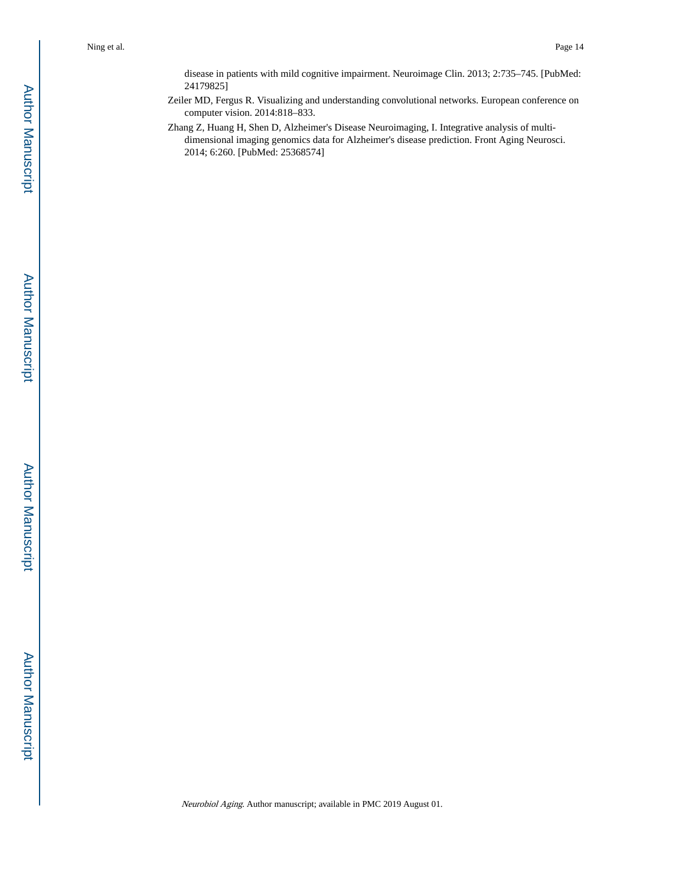disease in patients with mild cognitive impairment. Neuroimage Clin. 2013; 2:735–745. [PubMed: 24179825]

Zeiler MD, Fergus R. Visualizing and understanding convolutional networks. European conference on computer vision. 2014:818–833.

Zhang Z, Huang H, Shen D, Alzheimer's Disease Neuroimaging, I. Integrative analysis of multidimensional imaging genomics data for Alzheimer's disease prediction. Front Aging Neurosci. 2014; 6:260. [PubMed: 25368574]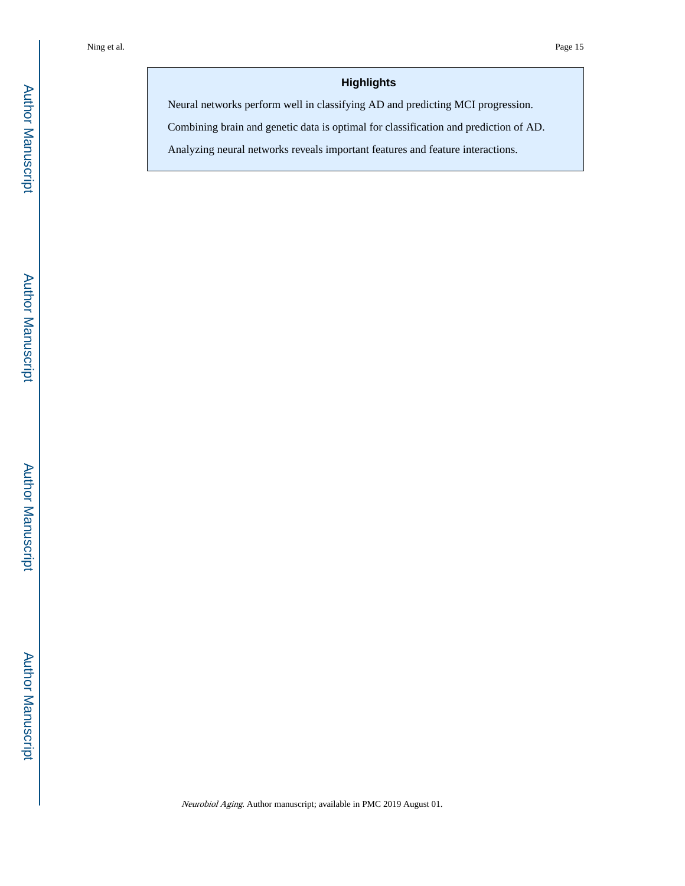# **Highlights**

Neural networks perform well in classifying AD and predicting MCI progression.

Combining brain and genetic data is optimal for classification and prediction of AD.

Analyzing neural networks reveals important features and feature interactions.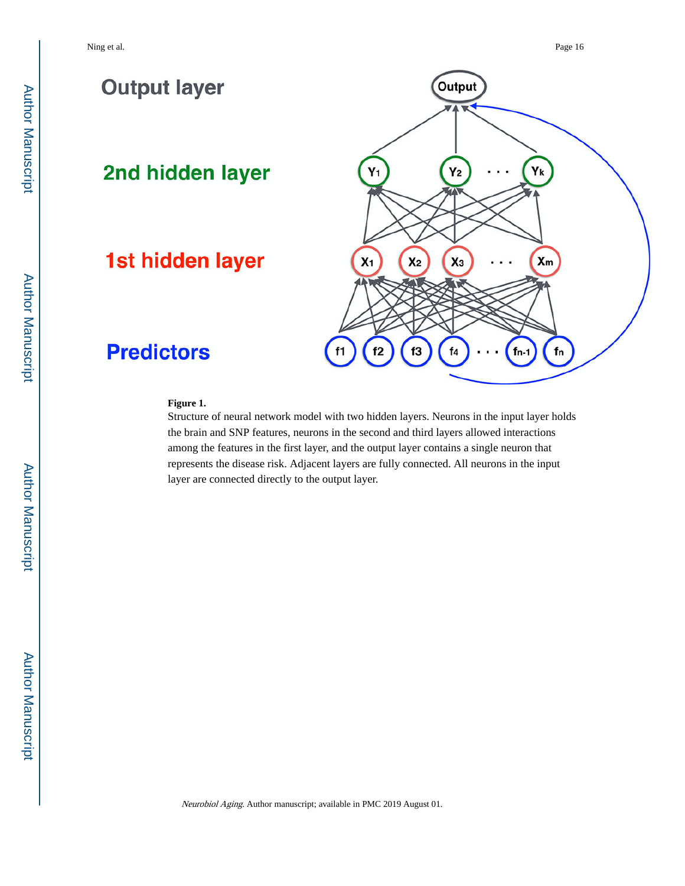

#### **Figure 1.**

Structure of neural network model with two hidden layers. Neurons in the input layer holds the brain and SNP features, neurons in the second and third layers allowed interactions among the features in the first layer, and the output layer contains a single neuron that represents the disease risk. Adjacent layers are fully connected. All neurons in the input layer are connected directly to the output layer.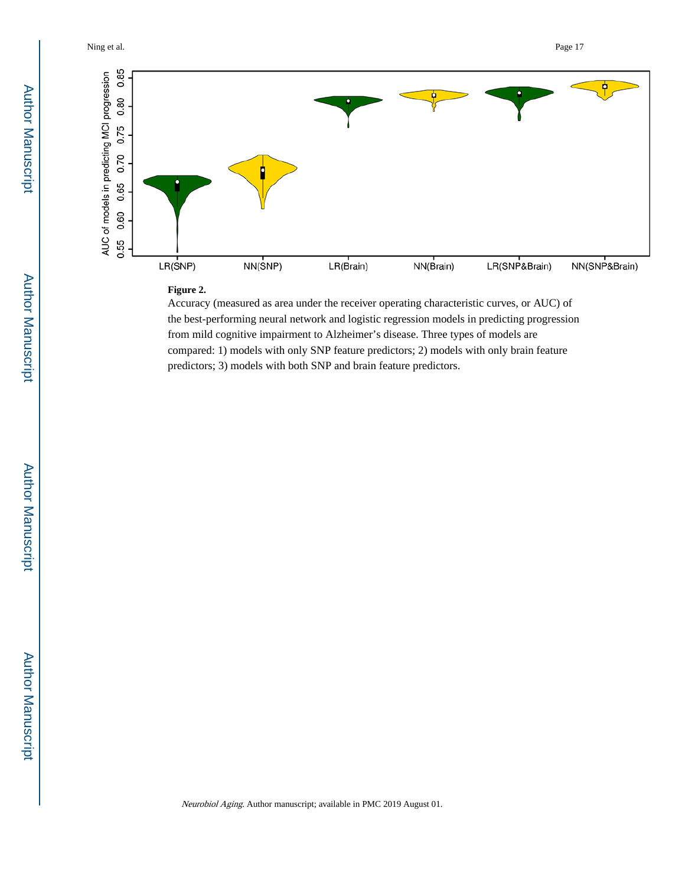

## **Figure 2.**

Accuracy (measured as area under the receiver operating characteristic curves, or AUC) of the best-performing neural network and logistic regression models in predicting progression from mild cognitive impairment to Alzheimer's disease. Three types of models are compared: 1) models with only SNP feature predictors; 2) models with only brain feature predictors; 3) models with both SNP and brain feature predictors.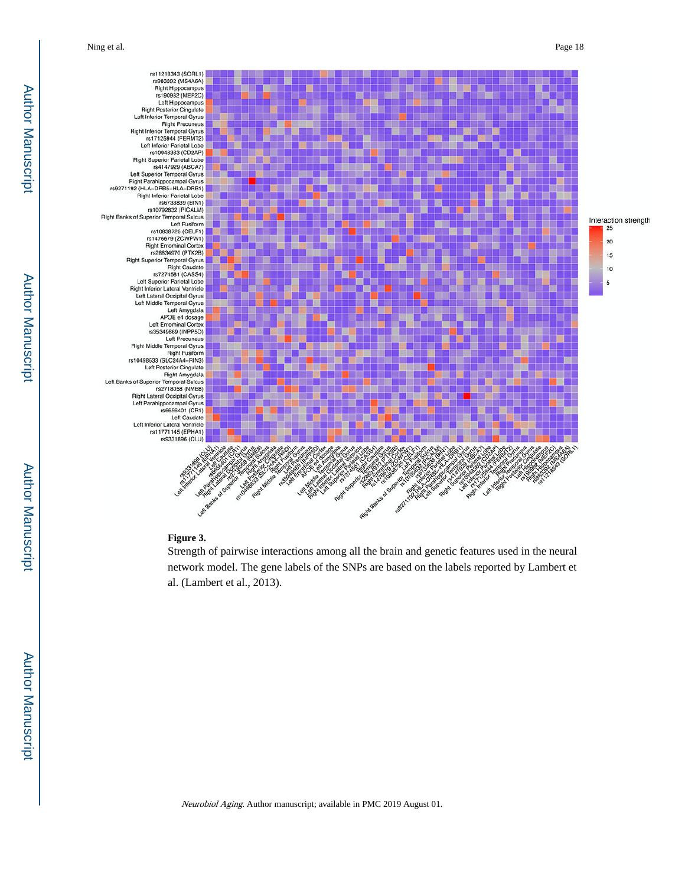

#### **Figure 3.**

Strength of pairwise interactions among all the brain and genetic features used in the neural network model. The gene labels of the SNPs are based on the labels reported by Lambert et al. (Lambert et al., 2013).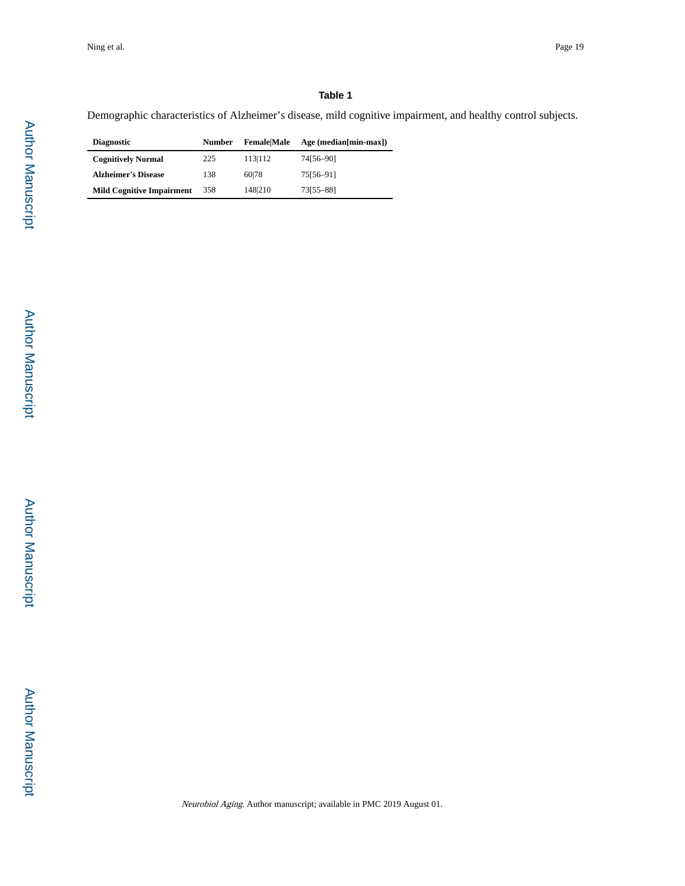# **Table 1**

Demographic characteristics of Alzheimer's disease, mild cognitive impairment, and healthy control subjects.

| <b>Diagnostic</b>                | <b>Number</b> | <b>Female</b> Male | $Age (median/min-max)$ |
|----------------------------------|---------------|--------------------|------------------------|
| <b>Cognitively Normal</b>        | 225           | 113 112            | 74156-901              |
| <b>Alzheimer's Disease</b>       | 138           | 60178              | 75156-911              |
| <b>Mild Cognitive Impairment</b> | 358           | 148210             | 73[55-88]              |